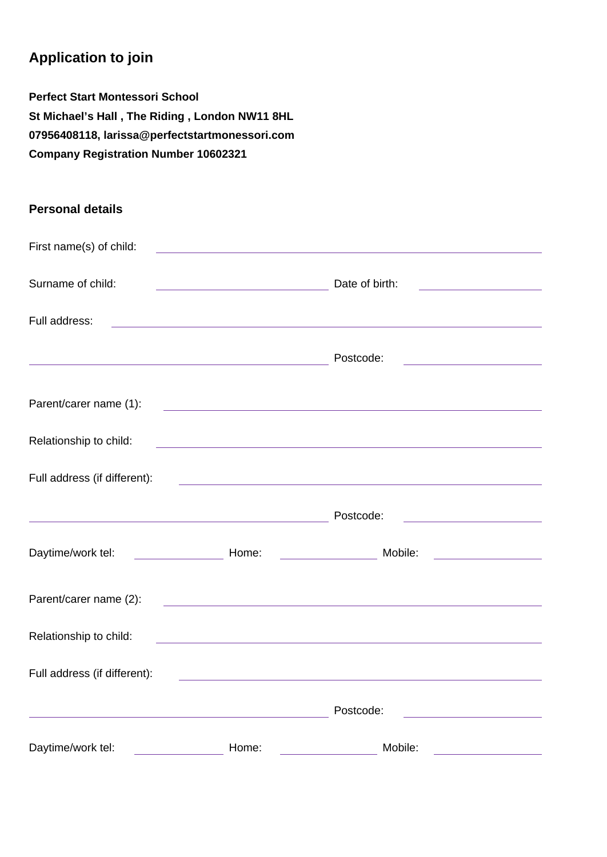## **Application to join**

**Perfect Start Montessori School St Michael's Hall , The Riding , London NW11 8HL 07956408118, larissa@perfectstartmonessori.com Company Registration Number 10602321**

## **Personal details**

| First name(s) of child:                                                                                              |                                                                                                                       |                                                                                                                      |                                                                                                                      |
|----------------------------------------------------------------------------------------------------------------------|-----------------------------------------------------------------------------------------------------------------------|----------------------------------------------------------------------------------------------------------------------|----------------------------------------------------------------------------------------------------------------------|
| Surname of child:                                                                                                    |                                                                                                                       | Date of birth:                                                                                                       | <u> 1980 - Johann Barn, mars ann an t-A</u>                                                                          |
| Full address:                                                                                                        |                                                                                                                       |                                                                                                                      |                                                                                                                      |
| <u> 1989 - Johann Barn, amerikansk politiker (</u>                                                                   |                                                                                                                       | Postcode:                                                                                                            | <u> 1980 - Andrea Station (b. 1980)</u>                                                                              |
| Parent/carer name (1):                                                                                               |                                                                                                                       |                                                                                                                      |                                                                                                                      |
| Relationship to child:                                                                                               |                                                                                                                       | <u> 1989 - Johann Stein, marwolaethau a bhann an t-Amhainn an t-Amhainn an t-Amhainn an t-Amhainn an t-Amhainn a</u> |                                                                                                                      |
| Full address (if different):                                                                                         |                                                                                                                       | <u> 1989 - Andrea Stadt Britain, amerikansk politik (* 1908)</u>                                                     |                                                                                                                      |
| <u> 1980 - Johann Barn, amerikan bestemanns eta ingilaria (h. 1980).</u>                                             |                                                                                                                       | Postcode:                                                                                                            | <u> 1980 - Johann Barn, mars ann an t-Amhain an t-A</u>                                                              |
| Daytime/work tel:                                                                                                    | <b>Example 2018</b> Home:                                                                                             | Mobile:                                                                                                              | <u> 1989 - Jan Stein Stein Stein Stein Stein Stein Stein Stein Stein Stein Stein Stein Stein Stein Stein Stein S</u> |
| Parent/carer name (2):                                                                                               |                                                                                                                       | <u> 1989 - Johann Barbara, martxa alemaniar arg</u>                                                                  |                                                                                                                      |
| Relationship to child:                                                                                               | <u> 1989 - Johann Barn, mars ann an t-Amhain an t-Amhain an t-Amhain an t-Amhain an t-Amhain an t-Amhain an t-Amh</u> |                                                                                                                      |                                                                                                                      |
| Full address (if different):                                                                                         |                                                                                                                       |                                                                                                                      |                                                                                                                      |
| <u> 1989 - Johann Stein, marwolaethau a bhann an t-Amhain an t-Amhain an t-Amhain an t-Amhain an t-Amhain an t-A</u> |                                                                                                                       | Postcode:                                                                                                            | <u> 1989 - Johann Barn, mars eta bainar eta idazlea (</u>                                                            |
| Daytime/work tel:                                                                                                    | Home:                                                                                                                 | Mobile:                                                                                                              |                                                                                                                      |